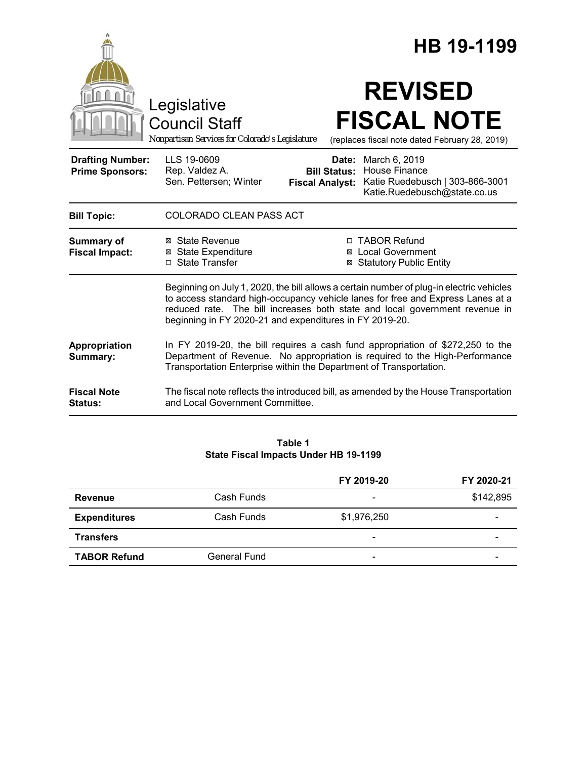|                                                   |                                                                                                                                                                                                                                                                                                                       |                                                        | HB 19-1199                                                                                                                                                    |
|---------------------------------------------------|-----------------------------------------------------------------------------------------------------------------------------------------------------------------------------------------------------------------------------------------------------------------------------------------------------------------------|--------------------------------------------------------|---------------------------------------------------------------------------------------------------------------------------------------------------------------|
|                                                   | Legislative<br><b>Council Staff</b><br>Nonpartisan Services for Colorado's Legislature                                                                                                                                                                                                                                |                                                        | <b>REVISED</b><br><b>FISCAL NOTE</b><br>(replaces fiscal note dated February 28, 2019)                                                                        |
| <b>Drafting Number:</b><br><b>Prime Sponsors:</b> | LLS 19-0609<br>Rep. Valdez A.<br>Sen. Pettersen; Winter                                                                                                                                                                                                                                                               | Date:<br><b>Bill Status:</b><br><b>Fiscal Analyst:</b> | March 6, 2019<br><b>House Finance</b><br>Katie Ruedebusch   303-866-3001<br>Katie.Ruedebusch@state.co.us                                                      |
| <b>Bill Topic:</b>                                | <b>COLORADO CLEAN PASS ACT</b>                                                                                                                                                                                                                                                                                        |                                                        |                                                                                                                                                               |
| Summary of<br><b>Fiscal Impact:</b>               | ⊠ State Revenue<br><b>⊠</b> State Expenditure<br>□ State Transfer                                                                                                                                                                                                                                                     |                                                        | □ TABOR Refund<br><b>⊠</b> Local Government<br>⊠ Statutory Public Entity                                                                                      |
|                                                   | Beginning on July 1, 2020, the bill allows a certain number of plug-in electric vehicles<br>to access standard high-occupancy vehicle lanes for free and Express Lanes at a<br>reduced rate. The bill increases both state and local government revenue in<br>beginning in FY 2020-21 and expenditures in FY 2019-20. |                                                        |                                                                                                                                                               |
| Appropriation<br>Summary:                         | Transportation Enterprise within the Department of Transportation.                                                                                                                                                                                                                                                    |                                                        | In FY 2019-20, the bill requires a cash fund appropriation of \$272,250 to the<br>Department of Revenue. No appropriation is required to the High-Performance |
| <b>Fiscal Note</b><br><b>Status:</b>              | and Local Government Committee.                                                                                                                                                                                                                                                                                       |                                                        | The fiscal note reflects the introduced bill, as amended by the House Transportation                                                                          |

### **Table 1 State Fiscal Impacts Under HB 19-1199**

|                     |              | FY 2019-20               | FY 2020-21 |
|---------------------|--------------|--------------------------|------------|
| <b>Revenue</b>      | Cash Funds   | $\overline{\phantom{a}}$ | \$142,895  |
| <b>Expenditures</b> | Cash Funds   | \$1,976,250              |            |
| <b>Transfers</b>    |              | $\overline{\phantom{a}}$ |            |
| <b>TABOR Refund</b> | General Fund | $\overline{\phantom{a}}$ |            |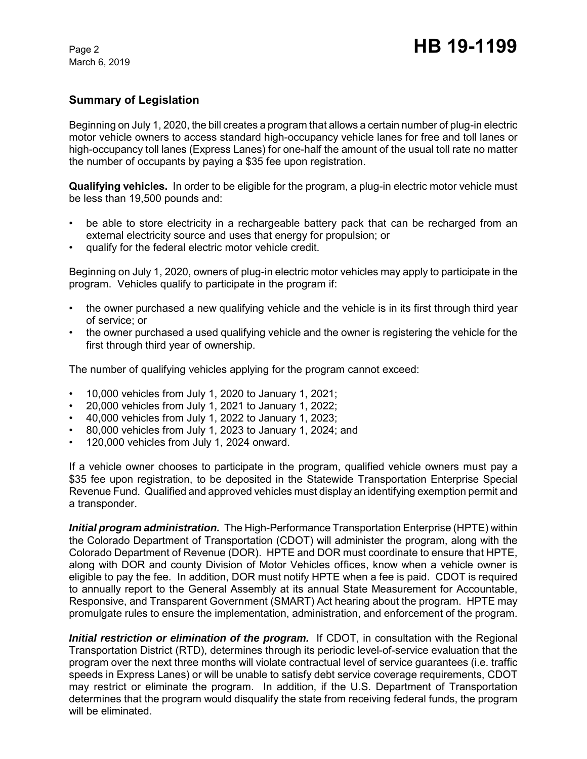# **Summary of Legislation**

Beginning on July 1, 2020, the bill creates a program that allows a certain number of plug-in electric motor vehicle owners to access standard high-occupancy vehicle lanes for free and toll lanes or high-occupancy toll lanes (Express Lanes) for one-half the amount of the usual toll rate no matter the number of occupants by paying a \$35 fee upon registration.

**Qualifying vehicles.** In order to be eligible for the program, a plug-in electric motor vehicle must be less than 19,500 pounds and:

- be able to store electricity in a rechargeable battery pack that can be recharged from an external electricity source and uses that energy for propulsion; or
- qualify for the federal electric motor vehicle credit.

Beginning on July 1, 2020, owners of plug-in electric motor vehicles may apply to participate in the program. Vehicles qualify to participate in the program if:

- the owner purchased a new qualifying vehicle and the vehicle is in its first through third year of service; or
- the owner purchased a used qualifying vehicle and the owner is registering the vehicle for the first through third year of ownership.

The number of qualifying vehicles applying for the program cannot exceed:

- 10,000 vehicles from July 1, 2020 to January 1, 2021;
- 20,000 vehicles from July 1, 2021 to January 1, 2022;
- 40,000 vehicles from July 1, 2022 to January 1, 2023;
- 80,000 vehicles from July 1, 2023 to January 1, 2024; and
- 120,000 vehicles from July 1, 2024 onward.

If a vehicle owner chooses to participate in the program, qualified vehicle owners must pay a \$35 fee upon registration, to be deposited in the Statewide Transportation Enterprise Special Revenue Fund. Qualified and approved vehicles must display an identifying exemption permit and a transponder.

*Initial program administration.* The High-Performance Transportation Enterprise (HPTE) within the Colorado Department of Transportation (CDOT) will administer the program, along with the Colorado Department of Revenue (DOR). HPTE and DOR must coordinate to ensure that HPTE, along with DOR and county Division of Motor Vehicles offices, know when a vehicle owner is eligible to pay the fee. In addition, DOR must notify HPTE when a fee is paid. CDOT is required to annually report to the General Assembly at its annual State Measurement for Accountable, Responsive, and Transparent Government (SMART) Act hearing about the program. HPTE may promulgate rules to ensure the implementation, administration, and enforcement of the program.

*Initial restriction or elimination of the program. If CDOT, in consultation with the Regional* Transportation District (RTD), determines through its periodic level-of-service evaluation that the program over the next three months will violate contractual level of service guarantees (i.e. traffic speeds in Express Lanes) or will be unable to satisfy debt service coverage requirements, CDOT may restrict or eliminate the program. In addition, if the U.S. Department of Transportation determines that the program would disqualify the state from receiving federal funds, the program will be eliminated.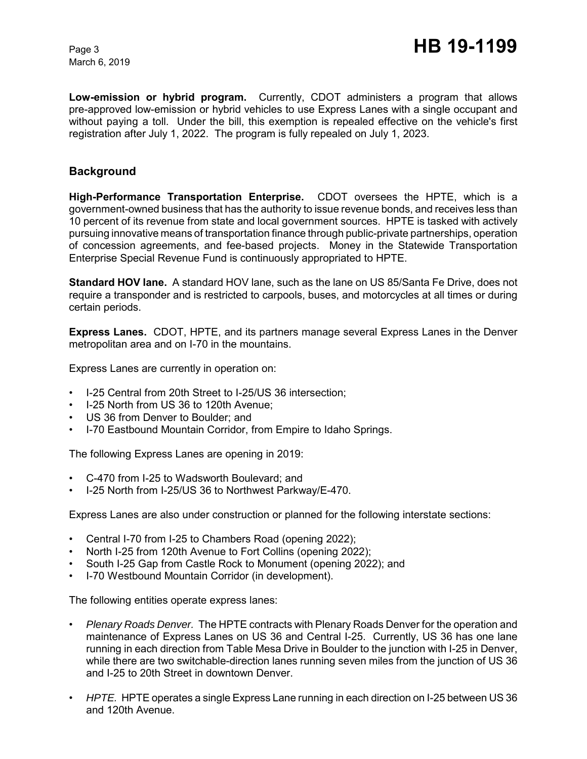**Low-emission or hybrid program.** Currently, CDOT administers a program that allows pre-approved low-emission or hybrid vehicles to use Express Lanes with a single occupant and without paying a toll. Under the bill, this exemption is repealed effective on the vehicle's first registration after July 1, 2022. The program is fully repealed on July 1, 2023.

### **Background**

**High-Performance Transportation Enterprise.** CDOT oversees the HPTE, which is a government-owned business that has the authority to issue revenue bonds, and receives less than 10 percent of its revenue from state and local government sources. HPTE is tasked with actively pursuing innovative means of transportation finance through public-private partnerships, operation of concession agreements, and fee-based projects. Money in the Statewide Transportation Enterprise Special Revenue Fund is continuously appropriated to HPTE.

**Standard HOV lane.** A standard HOV lane, such as the lane on US 85/Santa Fe Drive, does not require a transponder and is restricted to carpools, buses, and motorcycles at all times or during certain periods.

**Express Lanes.** CDOT, HPTE, and its partners manage several Express Lanes in the Denver metropolitan area and on I-70 in the mountains.

Express Lanes are currently in operation on:

- I-25 Central from 20th Street to I-25/US 36 intersection;
- I-25 North from US 36 to 120th Avenue;
- US 36 from Denver to Boulder; and
- I-70 Eastbound Mountain Corridor, from Empire to Idaho Springs.

The following Express Lanes are opening in 2019:

- C-470 from I-25 to Wadsworth Boulevard; and
- I-25 North from I-25/US 36 to Northwest Parkway/E-470.

Express Lanes are also under construction or planned for the following interstate sections:

- Central I-70 from I-25 to Chambers Road (opening 2022);
- North I-25 from 120th Avenue to Fort Collins (opening 2022);
- South I-25 Gap from Castle Rock to Monument (opening 2022); and
- I-70 Westbound Mountain Corridor (in development).

The following entities operate express lanes:

- *Plenary Roads Denver.* The HPTE contracts with Plenary Roads Denver for the operation and maintenance of Express Lanes on US 36 and Central I-25. Currently, US 36 has one lane running in each direction from Table Mesa Drive in Boulder to the junction with I-25 in Denver, while there are two switchable-direction lanes running seven miles from the junction of US 36 and I-25 to 20th Street in downtown Denver.
- *HPTE.* HPTE operates a single Express Lane running in each direction on I-25 between US 36 and 120th Avenue.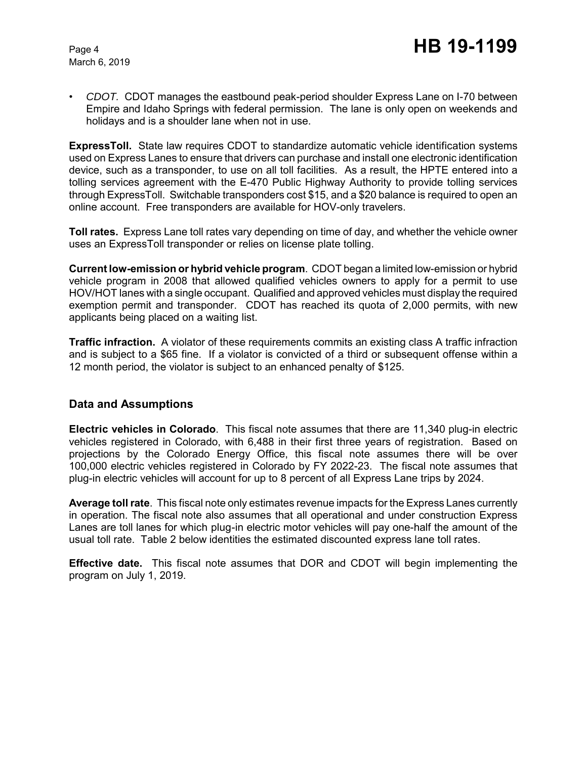• *CDOT.* CDOT manages the eastbound peak-period shoulder Express Lane on I-70 between Empire and Idaho Springs with federal permission. The lane is only open on weekends and holidays and is a shoulder lane when not in use.

**ExpressToll.** State law requires CDOT to standardize automatic vehicle identification systems used on Express Lanes to ensure that drivers can purchase and install one electronic identification device, such as a transponder, to use on all toll facilities. As a result, the HPTE entered into a tolling services agreement with the E-470 Public Highway Authority to provide tolling services through ExpressToll. Switchable transponders cost \$15, and a \$20 balance is required to open an online account. Free transponders are available for HOV-only travelers.

**Toll rates.** Express Lane toll rates vary depending on time of day, and whether the vehicle owner uses an ExpressToll transponder or relies on license plate tolling.

**Current low-emission or hybrid vehicle program**.CDOT began a limited low-emission or hybrid vehicle program in 2008 that allowed qualified vehicles owners to apply for a permit to use HOV/HOT lanes with a single occupant. Qualified and approved vehicles must display the required exemption permit and transponder. CDOT has reached its quota of 2,000 permits, with new applicants being placed on a waiting list.

**Traffic infraction.** A violator of these requirements commits an existing class A traffic infraction and is subject to a \$65 fine. If a violator is convicted of a third or subsequent offense within a 12 month period, the violator is subject to an enhanced penalty of \$125.

### **Data and Assumptions**

**Electric vehicles in Colorado**. This fiscal note assumes that there are 11,340 plug-in electric vehicles registered in Colorado, with 6,488 in their first three years of registration. Based on projections by the Colorado Energy Office, this fiscal note assumes there will be over 100,000 electric vehicles registered in Colorado by FY 2022-23. The fiscal note assumes that plug-in electric vehicles will account for up to 8 percent of all Express Lane trips by 2024.

**Average toll rate**. This fiscal note only estimates revenue impacts for the Express Lanes currently in operation. The fiscal note also assumes that all operational and under construction Express Lanes are toll lanes for which plug-in electric motor vehicles will pay one-half the amount of the usual toll rate. Table 2 below identities the estimated discounted express lane toll rates.

**Effective date.** This fiscal note assumes that DOR and CDOT will begin implementing the program on July 1, 2019.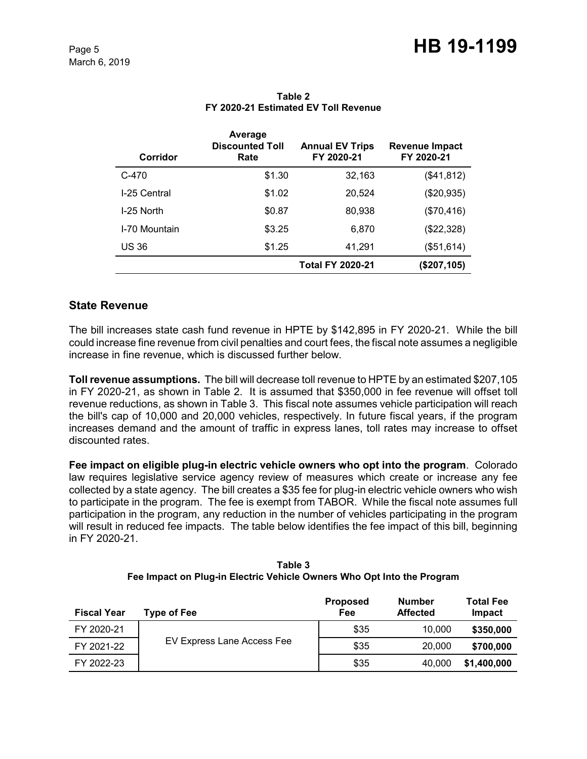| Corridor      | Average<br><b>Discounted Toll</b><br>Rate | <b>Annual EV Trips</b><br>FY 2020-21 | Revenue Impact<br>FY 2020-21 |
|---------------|-------------------------------------------|--------------------------------------|------------------------------|
| $C-470$       | \$1.30                                    | 32,163                               | (\$41,812)                   |
| I-25 Central  | \$1.02                                    | 20,524                               | (\$20,935)                   |
| I-25 North    | \$0.87                                    | 80,938                               | (\$70,416)                   |
| I-70 Mountain | \$3.25                                    | 6,870                                | (\$22,328)                   |
| <b>US 36</b>  | \$1.25                                    | 41,291                               | (\$51,614)                   |
|               |                                           | <b>Total FY 2020-21</b>              | (\$207,105)                  |

### **Table 2 FY 2020-21 Estimated EV Toll Revenue**

# **State Revenue**

The bill increases state cash fund revenue in HPTE by \$142,895 in FY 2020-21. While the bill could increase fine revenue from civil penalties and court fees, the fiscal note assumes a negligible increase in fine revenue, which is discussed further below.

**Toll revenue assumptions.** The bill will decrease toll revenue to HPTE by an estimated \$207,105 in FY 2020-21, as shown in Table 2. It is assumed that \$350,000 in fee revenue will offset toll revenue reductions, as shown in Table 3. This fiscal note assumes vehicle participation will reach the bill's cap of 10,000 and 20,000 vehicles, respectively. In future fiscal years, if the program increases demand and the amount of traffic in express lanes, toll rates may increase to offset discounted rates.

**Fee impact on eligible plug-in electric vehicle owners who opt into the program**. Colorado law requires legislative service agency review of measures which create or increase any fee collected by a state agency. The bill creates a \$35 fee for plug-in electric vehicle owners who wish to participate in the program. The fee is exempt from TABOR. While the fiscal note assumes full participation in the program, any reduction in the number of vehicles participating in the program will result in reduced fee impacts. The table below identifies the fee impact of this bill, beginning in FY 2020-21.

| Table 3                                                                |
|------------------------------------------------------------------------|
| Fee Impact on Plug-in Electric Vehicle Owners Who Opt Into the Program |

| <b>Fiscal Year</b> | <b>Type of Fee</b>         | <b>Proposed</b><br>Fee | <b>Number</b><br><b>Affected</b> | <b>Total Fee</b><br>Impact |
|--------------------|----------------------------|------------------------|----------------------------------|----------------------------|
| FY 2020-21         |                            | \$35                   | 10.000                           | \$350,000                  |
| FY 2021-22         | EV Express Lane Access Fee | \$35                   | 20,000                           | \$700,000                  |
| FY 2022-23         |                            | \$35                   | 40,000                           | \$1,400,000                |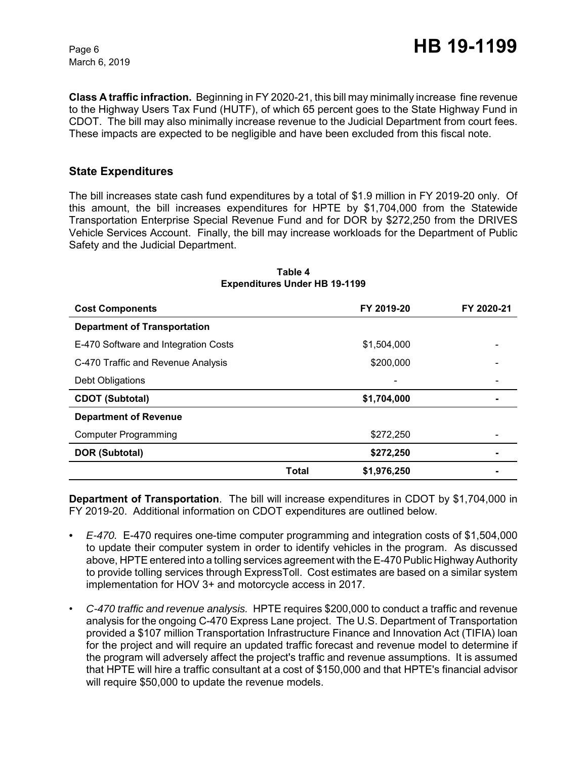**Class A traffic infraction.** Beginning in FY 2020-21, this bill may minimally increase fine revenue to the Highway Users Tax Fund (HUTF), of which 65 percent goes to the State Highway Fund in CDOT. The bill may also minimally increase revenue to the Judicial Department from court fees. These impacts are expected to be negligible and have been excluded from this fiscal note.

## **State Expenditures**

The bill increases state cash fund expenditures by a total of \$1.9 million in FY 2019-20 only. Of this amount, the bill increases expenditures for HPTE by \$1,704,000 from the Statewide Transportation Enterprise Special Revenue Fund and for DOR by \$272,250 from the DRIVES Vehicle Services Account. Finally, the bill may increase workloads for the Department of Public Safety and the Judicial Department.

| <b>Cost Components</b>               |       | FY 2019-20               | FY 2020-21 |
|--------------------------------------|-------|--------------------------|------------|
| <b>Department of Transportation</b>  |       |                          |            |
| E-470 Software and Integration Costs |       | \$1,504,000              |            |
| C-470 Traffic and Revenue Analysis   |       | \$200,000                |            |
| Debt Obligations                     |       | $\overline{\phantom{a}}$ |            |
| <b>CDOT (Subtotal)</b>               |       | \$1,704,000              |            |
| <b>Department of Revenue</b>         |       |                          |            |
| <b>Computer Programming</b>          |       | \$272,250                |            |
| <b>DOR (Subtotal)</b>                |       | \$272,250                |            |
|                                      | Total | \$1,976,250              |            |

#### **Table 4 Expenditures Under HB 19-1199**

**Department of Transportation**. The bill will increase expenditures in CDOT by \$1,704,000 in FY 2019-20. Additional information on CDOT expenditures are outlined below.

- *E-470.* E-470 requires one-time computer programming and integration costs of \$1,504,000 to update their computer system in order to identify vehicles in the program. As discussed above, HPTE entered into a tolling services agreement with the E-470 Public Highway Authority to provide tolling services through ExpressToll. Cost estimates are based on a similar system implementation for HOV 3+ and motorcycle access in 2017.
- *C-470 traffic and revenue analysis.* HPTE requires \$200,000 to conduct a traffic and revenue analysis for the ongoing C-470 Express Lane project. The U.S. Department of Transportation provided a \$107 million Transportation Infrastructure Finance and Innovation Act (TIFIA) loan for the project and will require an updated traffic forecast and revenue model to determine if the program will adversely affect the project's traffic and revenue assumptions. It is assumed that HPTE will hire a traffic consultant at a cost of \$150,000 and that HPTE's financial advisor will require \$50,000 to update the revenue models.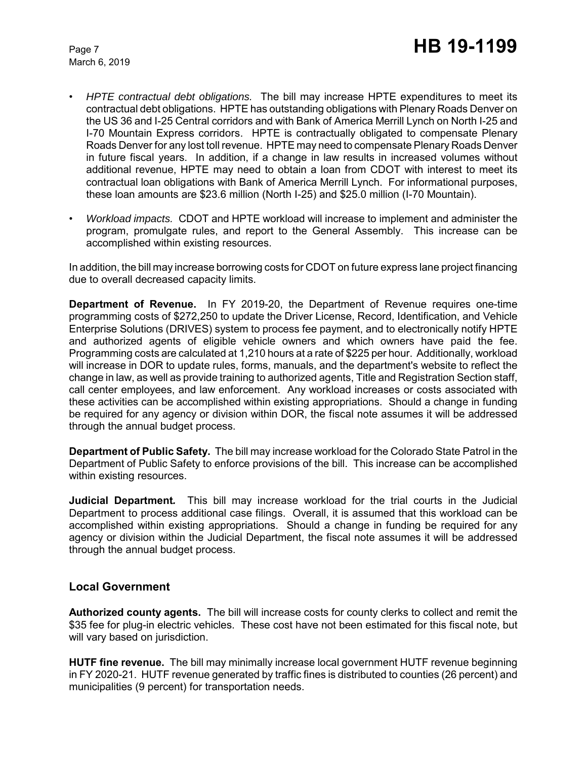- *HPTE contractual debt obligations.* The bill may increase HPTE expenditures to meet its contractual debt obligations. HPTE has outstanding obligations with Plenary Roads Denver on the US 36 and I-25 Central corridors and with Bank of America Merrill Lynch on North I-25 and I-70 Mountain Express corridors. HPTE is contractually obligated to compensate Plenary Roads Denver for any lost toll revenue. HPTE may need to compensate Plenary Roads Denver in future fiscal years. In addition, if a change in law results in increased volumes without additional revenue, HPTE may need to obtain a loan from CDOT with interest to meet its contractual loan obligations with Bank of America Merrill Lynch. For informational purposes, these loan amounts are \$23.6 million (North I-25) and \$25.0 million (I-70 Mountain).
- *Workload impacts.* CDOT and HPTE workload will increase to implement and administer the program, promulgate rules, and report to the General Assembly. This increase can be accomplished within existing resources.

In addition, the bill may increase borrowing costs for CDOT on future express lane project financing due to overall decreased capacity limits.

**Department of Revenue.** In FY 2019-20, the Department of Revenue requires one-time programming costs of \$272,250 to update the Driver License, Record, Identification, and Vehicle Enterprise Solutions (DRIVES) system to process fee payment, and to electronically notify HPTE and authorized agents of eligible vehicle owners and which owners have paid the fee. Programming costs are calculated at 1,210 hours at a rate of \$225 per hour. Additionally, workload will increase in DOR to update rules, forms, manuals, and the department's website to reflect the change in law, as well as provide training to authorized agents, Title and Registration Section staff, call center employees, and law enforcement. Any workload increases or costs associated with these activities can be accomplished within existing appropriations. Should a change in funding be required for any agency or division within DOR, the fiscal note assumes it will be addressed through the annual budget process.

**Department of Public Safety.** The bill may increase workload for the Colorado State Patrol in the Department of Public Safety to enforce provisions of the bill. This increase can be accomplished within existing resources.

**Judicial Department***.* This bill may increase workload for the trial courts in the Judicial Department to process additional case filings. Overall, it is assumed that this workload can be accomplished within existing appropriations. Should a change in funding be required for any agency or division within the Judicial Department, the fiscal note assumes it will be addressed through the annual budget process.

### **Local Government**

**Authorized county agents.** The bill will increase costs for county clerks to collect and remit the \$35 fee for plug-in electric vehicles. These cost have not been estimated for this fiscal note, but will vary based on jurisdiction.

**HUTF fine revenue.** The bill may minimally increase local government HUTF revenue beginning in FY 2020-21. HUTF revenue generated by traffic fines is distributed to counties (26 percent) and municipalities (9 percent) for transportation needs.